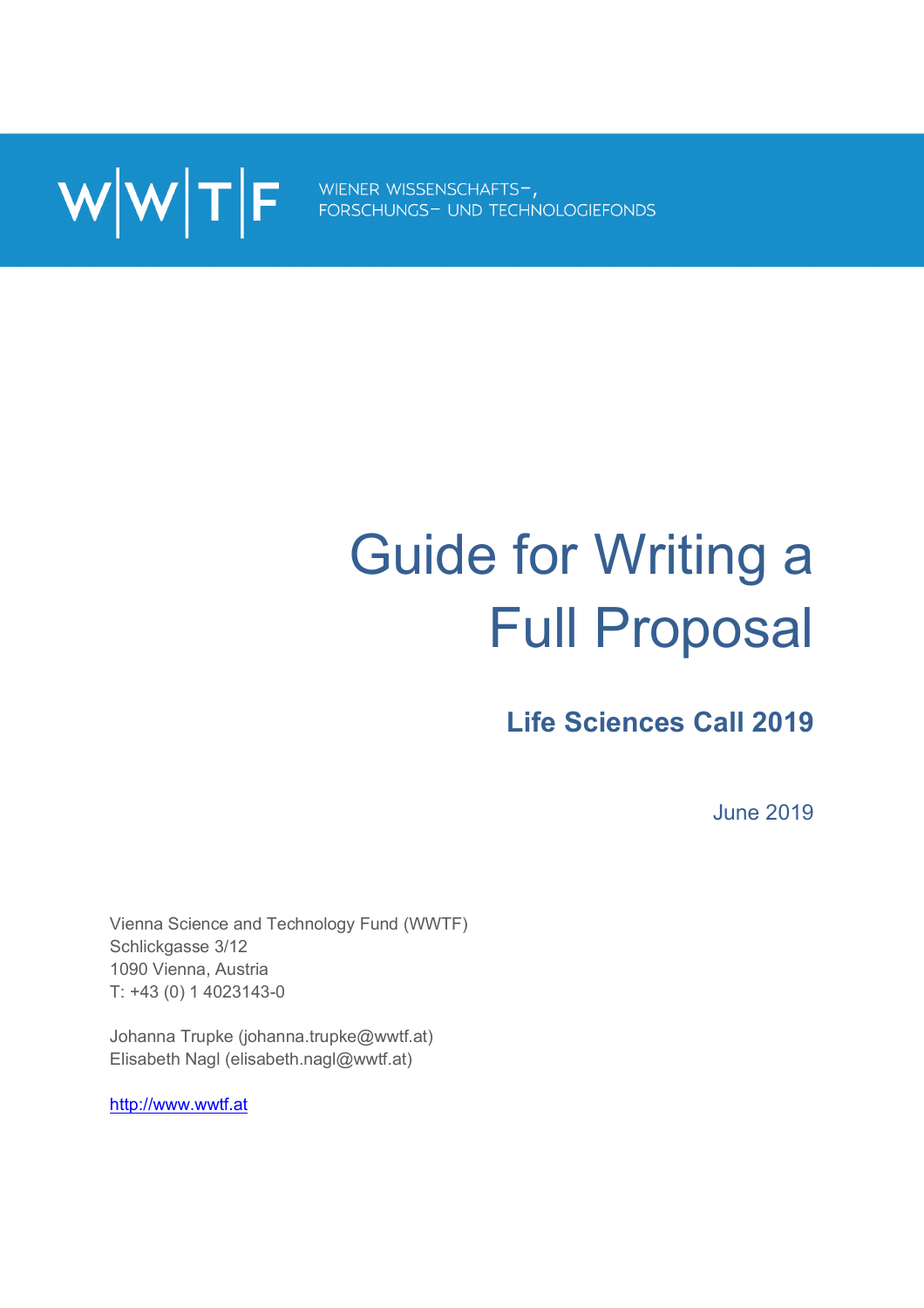WWTF FORSCHUNGS- UND TECHNOLOGIEFONDS

# Guide for Writing a Full Proposal

**Life Sciences Call 2019**

June 2019

Vienna Science and Technology Fund (WWTF) Schlickgasse 3/12 1090 Vienna, Austria T: +43 (0) 1 4023143-0

Johanna Trupke (johanna.trupke@wwtf.at) Elisabeth Nagl (elisabeth.nagl@wwtf.at)

http://www.wwtf.at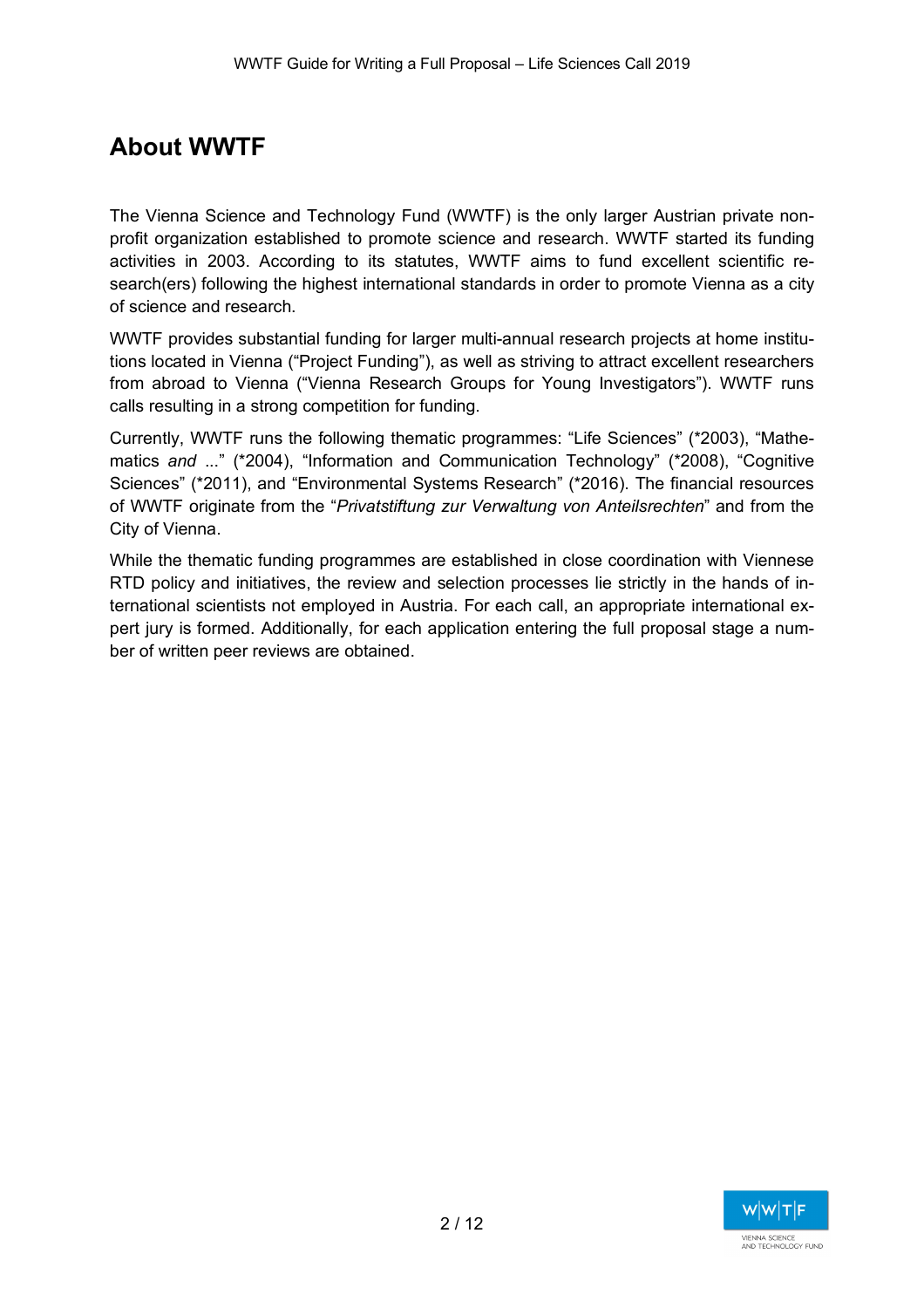# **About WWTF**

The Vienna Science and Technology Fund (WWTF) is the only larger Austrian private nonprofit organization established to promote science and research. WWTF started its funding activities in 2003. According to its statutes, WWTF aims to fund excellent scientific research(ers) following the highest international standards in order to promote Vienna as a city of science and research.

WWTF provides substantial funding for larger multi-annual research projects at home institutions located in Vienna ("Project Funding"), as well as striving to attract excellent researchers from abroad to Vienna ("Vienna Research Groups for Young Investigators"). WWTF runs calls resulting in a strong competition for funding.

Currently, WWTF runs the following thematic programmes: "Life Sciences" (\*2003), "Mathematics *and* ..." (\*2004), "Information and Communication Technology" (\*2008), "Cognitive Sciences" (\*2011), and "Environmental Systems Research" (\*2016). The financial resources of WWTF originate from the "*Privatstiftung zur Verwaltung von Anteilsrechten*" and from the City of Vienna.

While the thematic funding programmes are established in close coordination with Viennese RTD policy and initiatives, the review and selection processes lie strictly in the hands of international scientists not employed in Austria. For each call, an appropriate international expert jury is formed. Additionally, for each application entering the full proposal stage a number of written peer reviews are obtained.

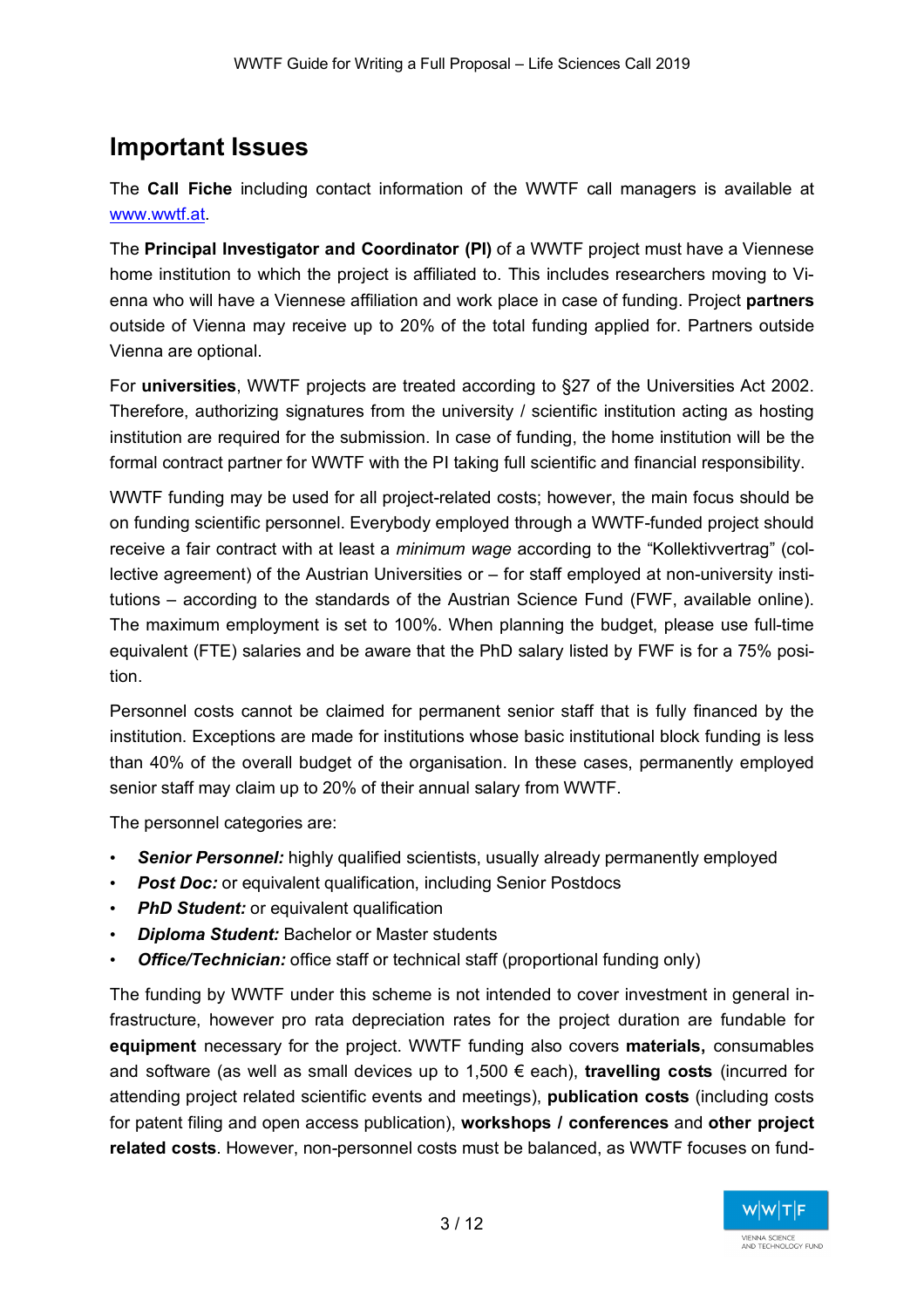# **Important Issues**

The **Call Fiche** including contact information of the WWTF call managers is available at www.wwtf.at.

The **Principal Investigator and Coordinator (PI)** of a WWTF project must have a Viennese home institution to which the project is affiliated to. This includes researchers moving to Vienna who will have a Viennese affiliation and work place in case of funding. Project **partners** outside of Vienna may receive up to 20% of the total funding applied for. Partners outside Vienna are optional.

For **universities**, WWTF projects are treated according to §27 of the Universities Act 2002. Therefore, authorizing signatures from the university / scientific institution acting as hosting institution are required for the submission. In case of funding, the home institution will be the formal contract partner for WWTF with the PI taking full scientific and financial responsibility.

WWTF funding may be used for all project-related costs; however, the main focus should be on funding scientific personnel. Everybody employed through a WWTF-funded project should receive a fair contract with at least a *minimum wage* according to the "Kollektivvertrag" (collective agreement) of the Austrian Universities or – for staff employed at non-university institutions – according to the standards of the Austrian Science Fund (FWF, available online). The maximum employment is set to 100%. When planning the budget, please use full-time equivalent (FTE) salaries and be aware that the PhD salary listed by FWF is for a 75% position.

Personnel costs cannot be claimed for permanent senior staff that is fully financed by the institution. Exceptions are made for institutions whose basic institutional block funding is less than 40% of the overall budget of the organisation. In these cases, permanently employed senior staff may claim up to 20% of their annual salary from WWTF.

The personnel categories are:

- **Senior Personnel:** highly qualified scientists, usually already permanently employed
- *Post Doc:* or equivalent qualification, including Senior Postdocs
- *PhD Student:* or equivalent qualification
- *Diploma Student:* Bachelor or Master students
- *Office/Technician:* office staff or technical staff (proportional funding only)

The funding by WWTF under this scheme is not intended to cover investment in general infrastructure, however pro rata depreciation rates for the project duration are fundable for **equipment** necessary for the project. WWTF funding also covers **materials,** consumables and software (as well as small devices up to 1,500 € each), **travelling costs** (incurred for attending project related scientific events and meetings), **publication costs** (including costs for patent filing and open access publication), **workshops / conferences** and **other project related costs**. However, non-personnel costs must be balanced, as WWTF focuses on fund-

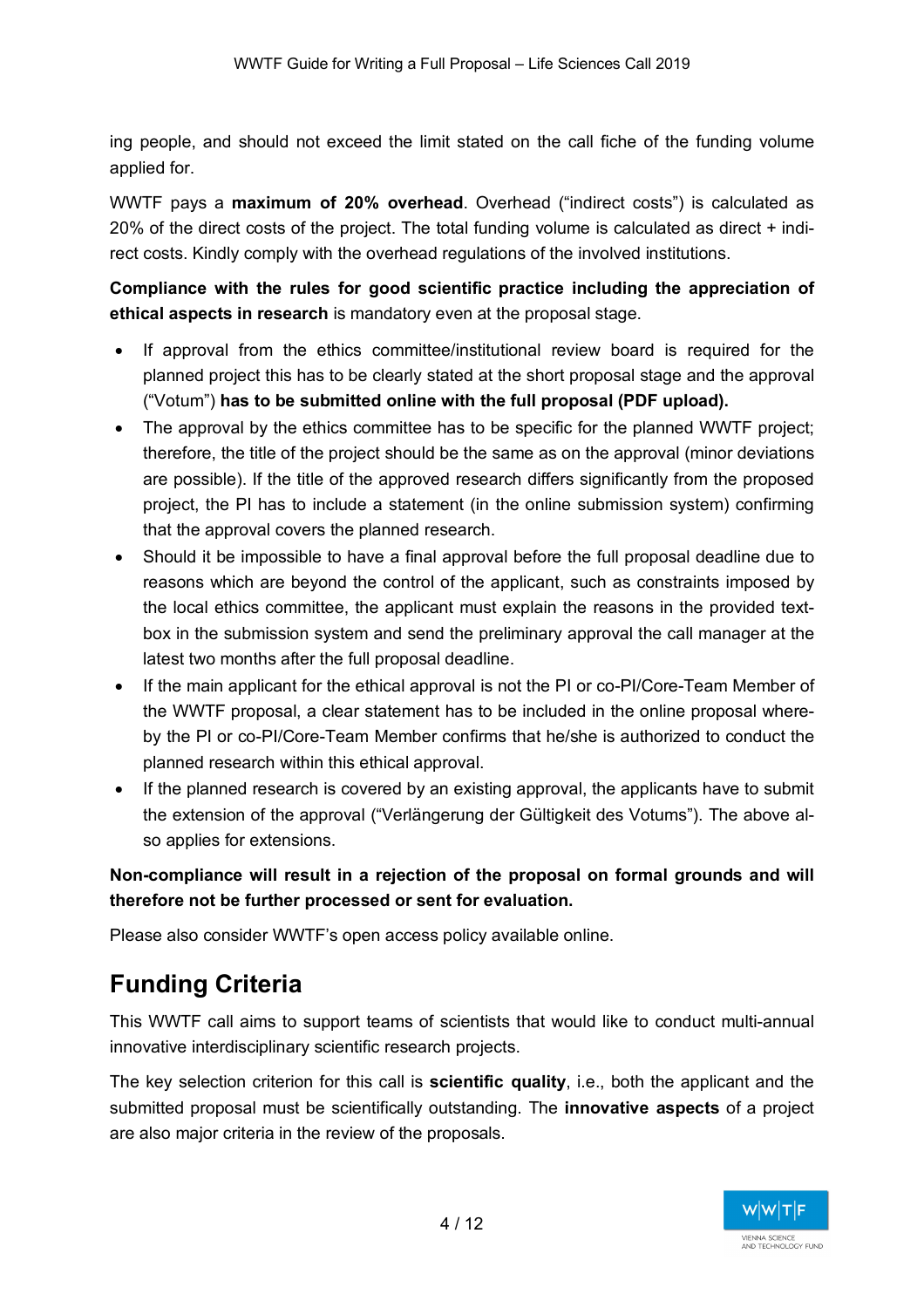ing people, and should not exceed the limit stated on the call fiche of the funding volume applied for.

WWTF pays a **maximum of 20% overhead**. Overhead ("indirect costs") is calculated as 20% of the direct costs of the project. The total funding volume is calculated as direct + indirect costs. Kindly comply with the overhead regulations of the involved institutions.

**Compliance with the rules for good scientific practice including the appreciation of ethical aspects in research** is mandatory even at the proposal stage.

- If approval from the ethics committee/institutional review board is required for the planned project this has to be clearly stated at the short proposal stage and the approval ("Votum") **has to be submitted online with the full proposal (PDF upload).**
- The approval by the ethics committee has to be specific for the planned WWTF project; therefore, the title of the project should be the same as on the approval (minor deviations are possible). If the title of the approved research differs significantly from the proposed project, the PI has to include a statement (in the online submission system) confirming that the approval covers the planned research.
- Should it be impossible to have a final approval before the full proposal deadline due to reasons which are beyond the control of the applicant, such as constraints imposed by the local ethics committee, the applicant must explain the reasons in the provided textbox in the submission system and send the preliminary approval the call manager at the latest two months after the full proposal deadline.
- If the main applicant for the ethical approval is not the PI or co-PI/Core-Team Member of the WWTF proposal, a clear statement has to be included in the online proposal whereby the PI or co-PI/Core-Team Member confirms that he/she is authorized to conduct the planned research within this ethical approval.
- If the planned research is covered by an existing approval, the applicants have to submit the extension of the approval ("Verlängerung der Gültigkeit des Votums"). The above also applies for extensions.

**Non-compliance will result in a rejection of the proposal on formal grounds and will therefore not be further processed or sent for evaluation.** 

Please also consider WWTF's open access policy available online.

# **Funding Criteria**

This WWTF call aims to support teams of scientists that would like to conduct multi-annual innovative interdisciplinary scientific research projects.

The key selection criterion for this call is **scientific quality**, i.e., both the applicant and the submitted proposal must be scientifically outstanding. The **innovative aspects** of a project are also major criteria in the review of the proposals.

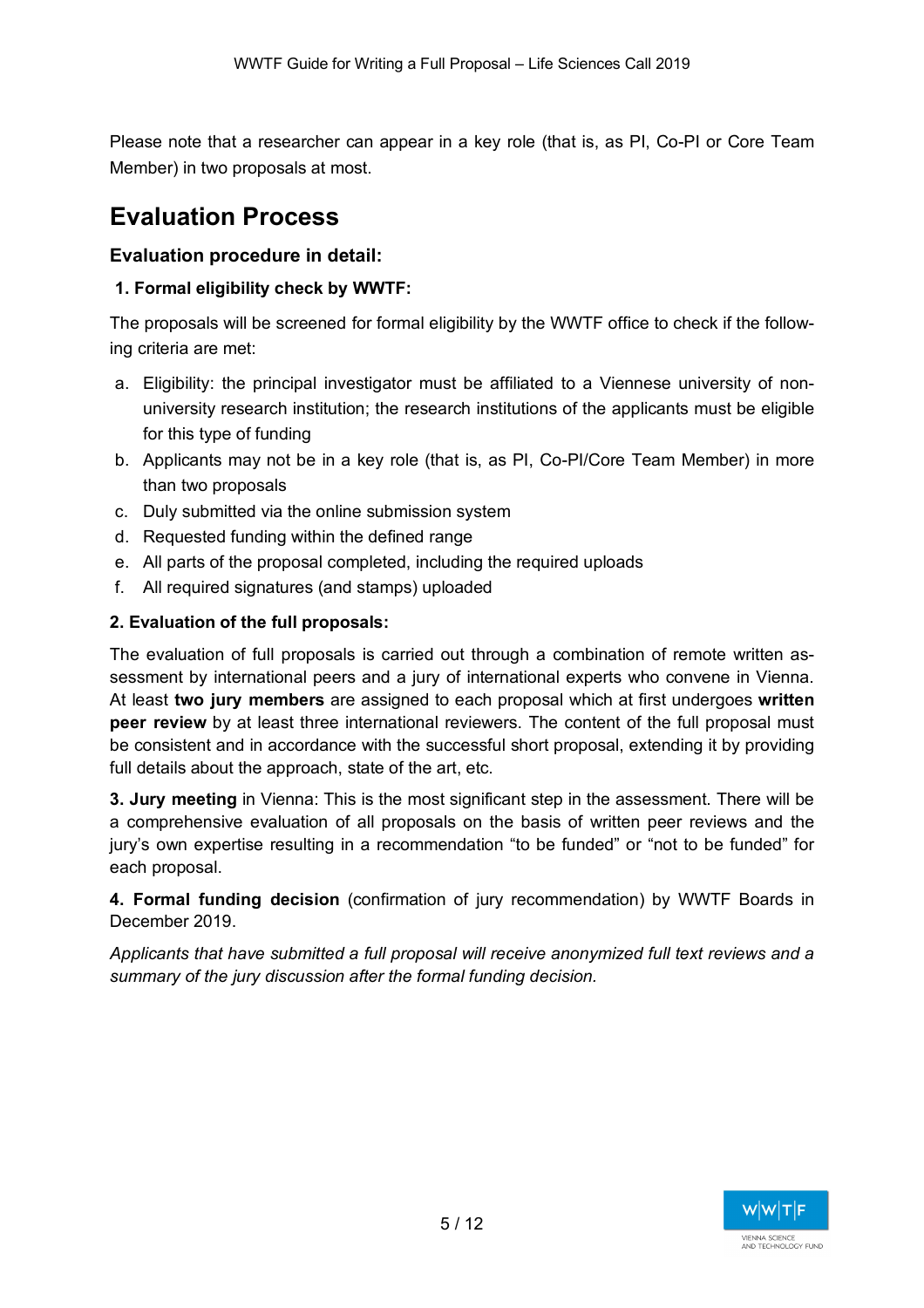Please note that a researcher can appear in a key role (that is, as PI, Co-PI or Core Team Member) in two proposals at most.

# **Evaluation Process**

## **Evaluation procedure in detail:**

## **1. Formal eligibility check by WWTF:**

The proposals will be screened for formal eligibility by the WWTF office to check if the following criteria are met:

- a. Eligibility: the principal investigator must be affiliated to a Viennese university of nonuniversity research institution; the research institutions of the applicants must be eligible for this type of funding
- b. Applicants may not be in a key role (that is, as PI, Co-PI/Core Team Member) in more than two proposals
- c. Duly submitted via the online submission system
- d. Requested funding within the defined range
- e. All parts of the proposal completed, including the required uploads
- f. All required signatures (and stamps) uploaded

## **2. Evaluation of the full proposals:**

The evaluation of full proposals is carried out through a combination of remote written assessment by international peers and a jury of international experts who convene in Vienna. At least **two jury members** are assigned to each proposal which at first undergoes **written peer review** by at least three international reviewers. The content of the full proposal must be consistent and in accordance with the successful short proposal, extending it by providing full details about the approach, state of the art, etc.

**3. Jury meeting** in Vienna: This is the most significant step in the assessment. There will be a comprehensive evaluation of all proposals on the basis of written peer reviews and the jury's own expertise resulting in a recommendation "to be funded" or "not to be funded" for each proposal.

**4. Formal funding decision** (confirmation of jury recommendation) by WWTF Boards in December 2019.

*Applicants that have submitted a full proposal will receive anonymized full text reviews and a summary of the jury discussion after the formal funding decision.*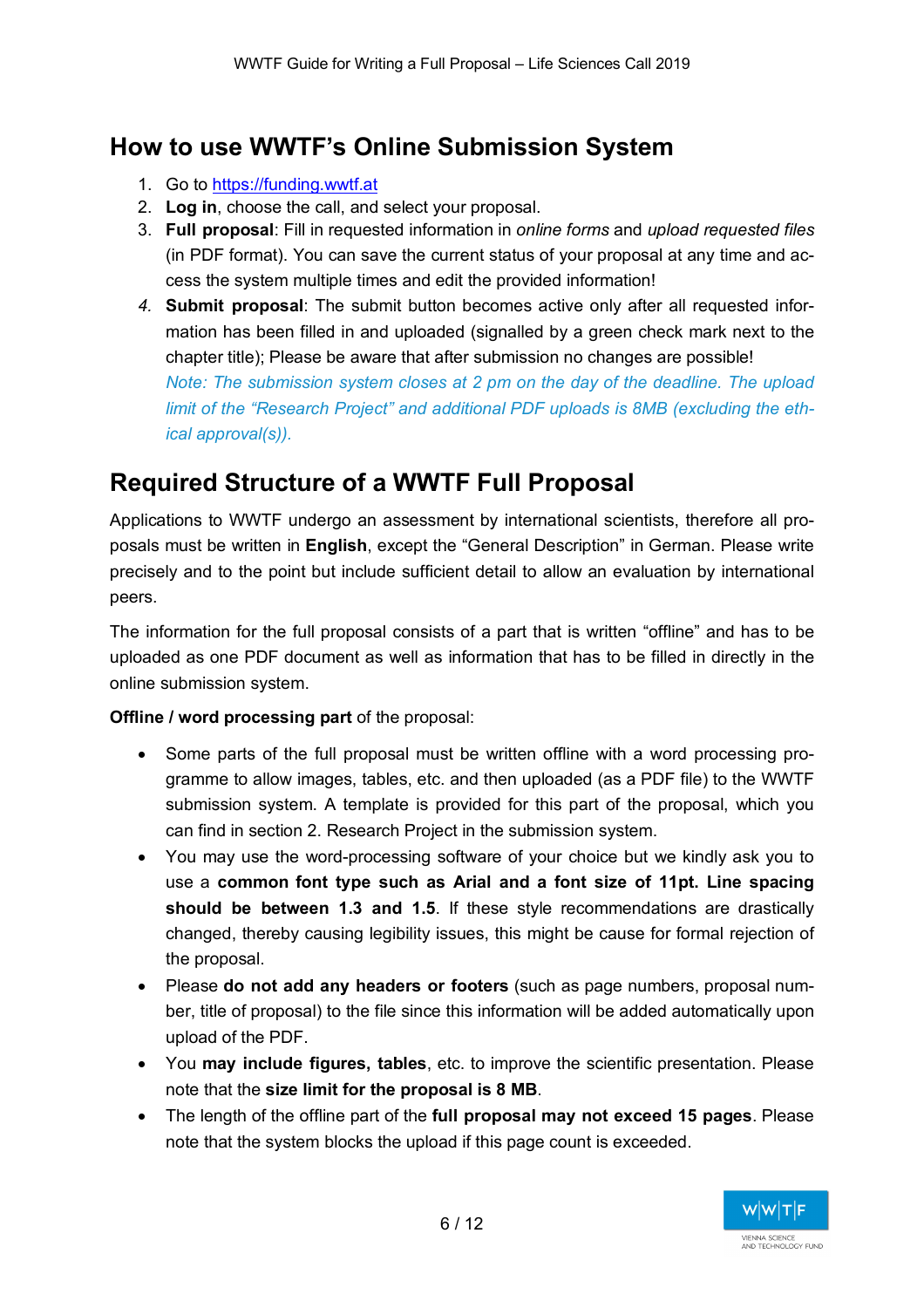# **How to use WWTF's Online Submission System**

- 1. Go to https://funding.wwtf.at
- 2. **Log in**, choose the call, and select your proposal.
- 3. **Full proposal**: Fill in requested information in *online forms* and *upload requested files* (in PDF format). You can save the current status of your proposal at any time and access the system multiple times and edit the provided information!
- *4.* **Submit proposal**: The submit button becomes active only after all requested information has been filled in and uploaded (signalled by a green check mark next to the chapter title); Please be aware that after submission no changes are possible!

*Note: The submission system closes at 2 pm on the day of the deadline. The upload limit of the "Research Project" and additional PDF uploads is 8MB (excluding the ethical approval(s)).*

# **Required Structure of a WWTF Full Proposal**

Applications to WWTF undergo an assessment by international scientists, therefore all proposals must be written in **English**, except the "General Description" in German. Please write precisely and to the point but include sufficient detail to allow an evaluation by international peers.

The information for the full proposal consists of a part that is written "offline" and has to be uploaded as one PDF document as well as information that has to be filled in directly in the online submission system.

## **Offline / word processing part** of the proposal:

- Some parts of the full proposal must be written offline with a word processing programme to allow images, tables, etc. and then uploaded (as a PDF file) to the WWTF submission system. A template is provided for this part of the proposal, which you can find in section 2. Research Project in the submission system.
- You may use the word-processing software of your choice but we kindly ask you to use a **common font type such as Arial and a font size of 11pt. Line spacing should be between 1.3 and 1.5**. If these style recommendations are drastically changed, thereby causing legibility issues, this might be cause for formal rejection of the proposal.
- Please **do not add any headers or footers** (such as page numbers, proposal number, title of proposal) to the file since this information will be added automatically upon upload of the PDF.
- You **may include figures, tables**, etc. to improve the scientific presentation. Please note that the **size limit for the proposal is 8 MB**.
- The length of the offline part of the **full proposal may not exceed 15 pages**. Please note that the system blocks the upload if this page count is exceeded.

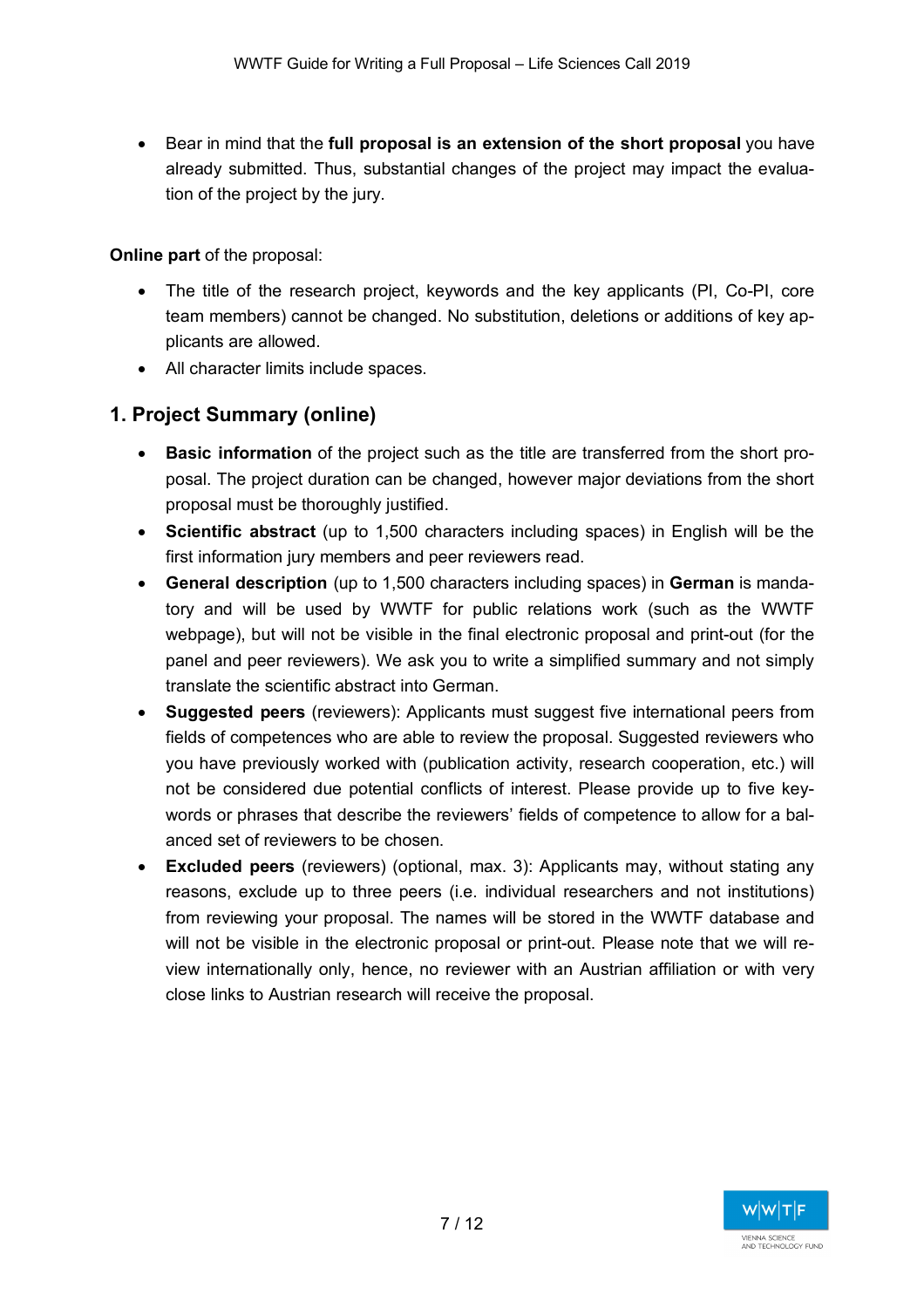• Bear in mind that the **full proposal is an extension of the short proposal** you have already submitted. Thus, substantial changes of the project may impact the evaluation of the project by the jury.

**Online part** of the proposal:

- The title of the research project, keywords and the key applicants (PI, Co-PI, core team members) cannot be changed. No substitution, deletions or additions of key applicants are allowed.
- All character limits include spaces.

## **1. Project Summary (online)**

- **Basic information** of the project such as the title are transferred from the short proposal. The project duration can be changed, however major deviations from the short proposal must be thoroughly justified.
- **Scientific abstract** (up to 1,500 characters including spaces) in English will be the first information jury members and peer reviewers read.
- **General description** (up to 1,500 characters including spaces) in **German** is mandatory and will be used by WWTF for public relations work (such as the WWTF webpage), but will not be visible in the final electronic proposal and print-out (for the panel and peer reviewers). We ask you to write a simplified summary and not simply translate the scientific abstract into German.
- **Suggested peers** (reviewers): Applicants must suggest five international peers from fields of competences who are able to review the proposal. Suggested reviewers who you have previously worked with (publication activity, research cooperation, etc.) will not be considered due potential conflicts of interest. Please provide up to five keywords or phrases that describe the reviewers' fields of competence to allow for a balanced set of reviewers to be chosen.
- **Excluded peers** (reviewers) (optional, max. 3): Applicants may, without stating any reasons, exclude up to three peers (i.e. individual researchers and not institutions) from reviewing your proposal. The names will be stored in the WWTF database and will not be visible in the electronic proposal or print-out. Please note that we will review internationally only, hence, no reviewer with an Austrian affiliation or with very close links to Austrian research will receive the proposal.

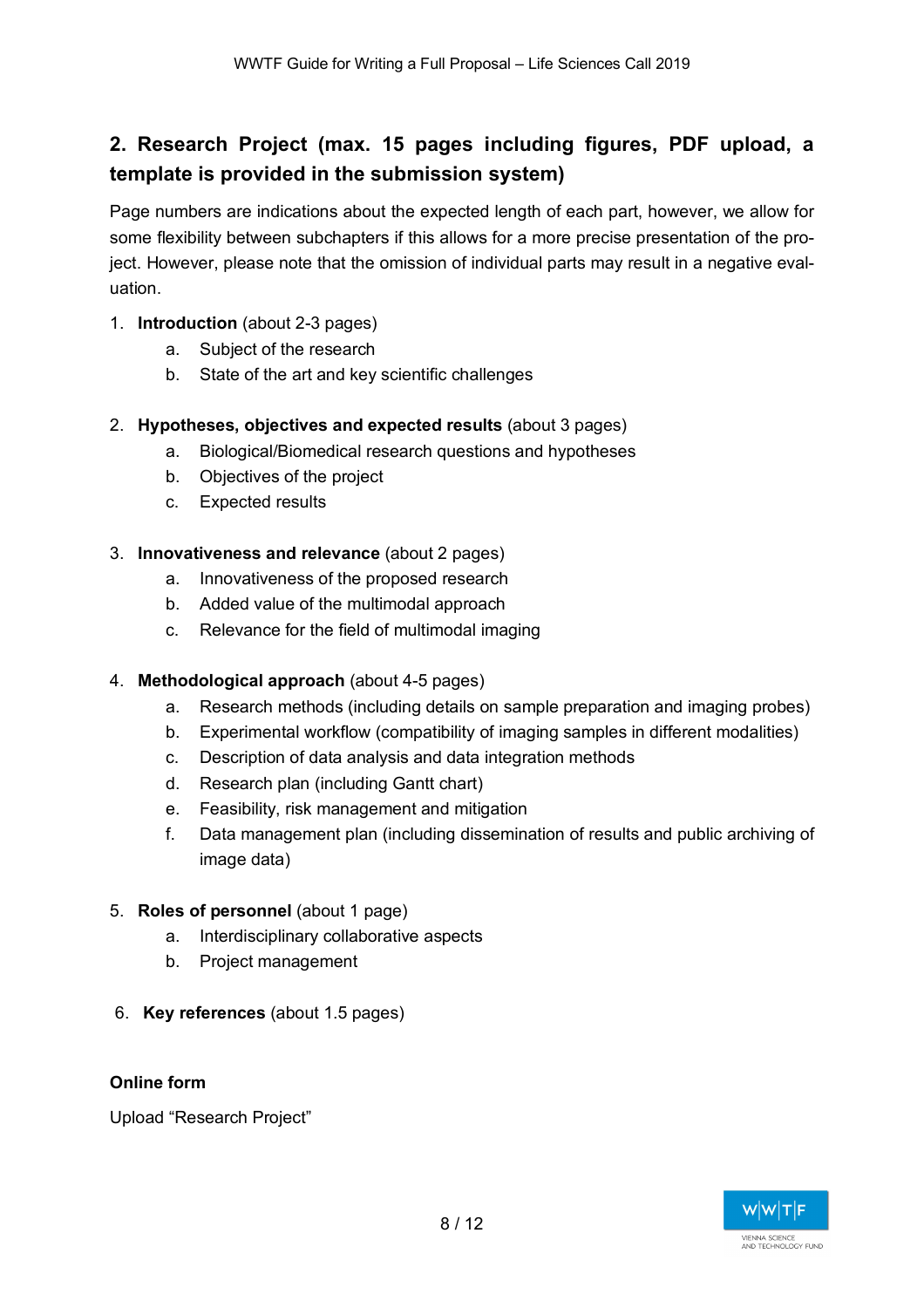## **2. Research Project (max. 15 pages including figures, PDF upload, a template is provided in the submission system)**

Page numbers are indications about the expected length of each part, however, we allow for some flexibility between subchapters if this allows for a more precise presentation of the project. However, please note that the omission of individual parts may result in a negative evaluation.

- 1. **Introduction** (about 2-3 pages)
	- a. Subject of the research
	- b. State of the art and key scientific challenges

## 2. **Hypotheses, objectives and expected results** (about 3 pages)

- a. Biological/Biomedical research questions and hypotheses
- b. Objectives of the project
- c. Expected results

#### 3. **Innovativeness and relevance** (about 2 pages)

- a. Innovativeness of the proposed research
- b. Added value of the multimodal approach
- c. Relevance for the field of multimodal imaging

#### 4. **Methodological approach** (about 4-5 pages)

- a. Research methods (including details on sample preparation and imaging probes)
- b. Experimental workflow (compatibility of imaging samples in different modalities)
- c. Description of data analysis and data integration methods
- d. Research plan (including Gantt chart)
- e. Feasibility, risk management and mitigation
- f. Data management plan (including dissemination of results and public archiving of image data)

#### 5. **Roles of personnel** (about 1 page)

- a. Interdisciplinary collaborative aspects
- b. Project management
- 6. **Key references** (about 1.5 pages)

## **Online form**

Upload "Research Project"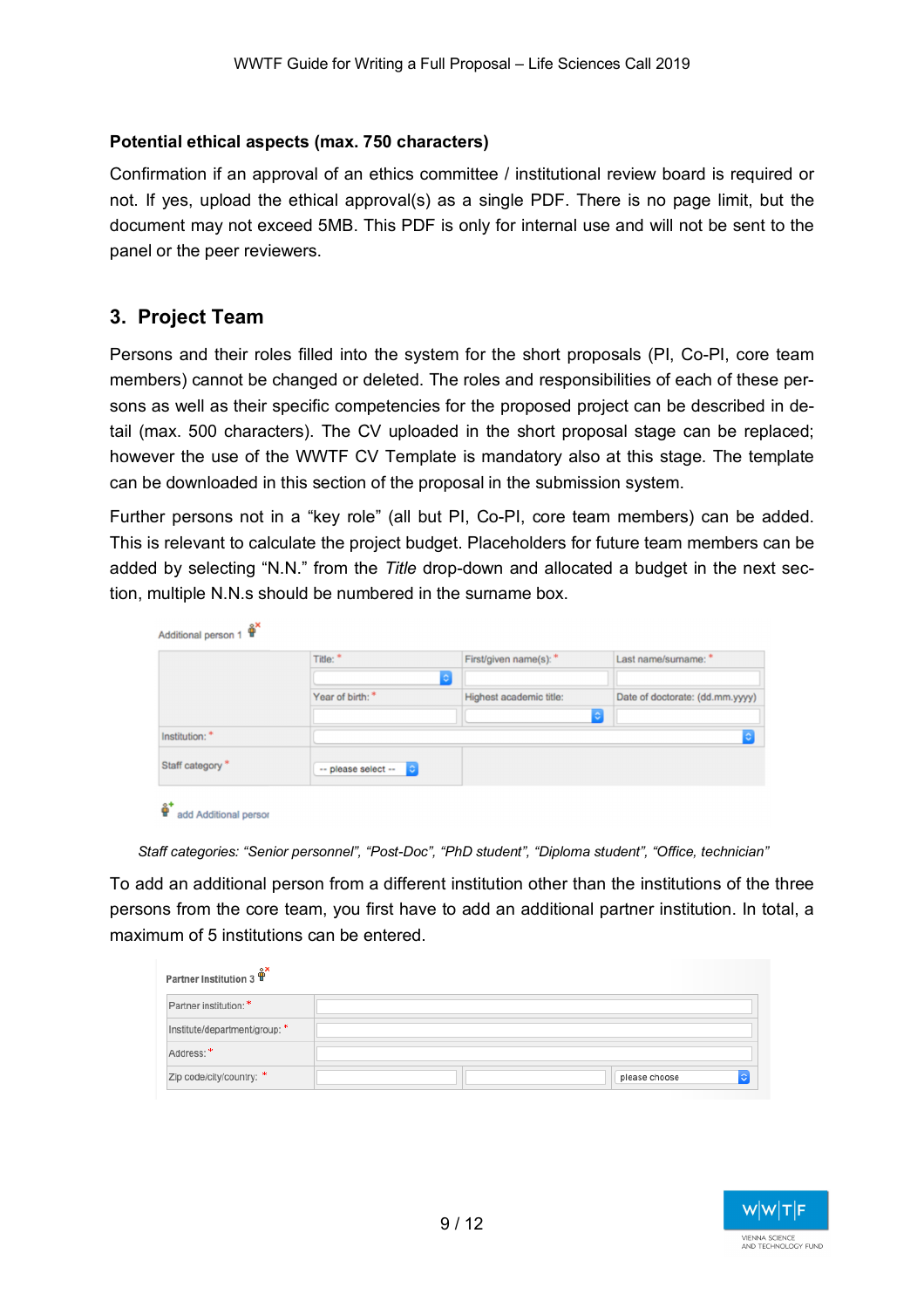### **Potential ethical aspects (max. 750 characters)**

Confirmation if an approval of an ethics committee / institutional review board is required or not. If yes, upload the ethical approval(s) as a single PDF. There is no page limit, but the document may not exceed 5MB. This PDF is only for internal use and will not be sent to the panel or the peer reviewers.

## **3. Project Team**

Persons and their roles filled into the system for the short proposals (PI, Co-PI, core team members) cannot be changed or deleted. The roles and responsibilities of each of these persons as well as their specific competencies for the proposed project can be described in detail (max. 500 characters). The CV uploaded in the short proposal stage can be replaced; however the use of the WWTF CV Template is mandatory also at this stage. The template can be downloaded in this section of the proposal in the submission system.

Further persons not in a "key role" (all but PI, Co-PI, core team members) can be added. This is relevant to calculate the project budget. Placeholders for future team members can be added by selecting "N.N." from the *Title* drop-down and allocated a budget in the next section, multiple N.N.s should be numbered in the surname box.

| Additional person 1 |                                           |                         |                                 |
|---------------------|-------------------------------------------|-------------------------|---------------------------------|
|                     | Title: *                                  | First/given name(s): *  | Last name/sumame: *             |
|                     |                                           | ٠                       |                                 |
|                     | Year of birth: *                          | Highest academic title: | Date of doctorate: (dd.mm.yyyy) |
|                     |                                           |                         | $ \diamond\rangle$              |
| Institution: *      |                                           |                         | ć                               |
| Staff category *    | $\rightarrow$ please select $\rightarrow$ |                         |                                 |
| _ջ+                 |                                           |                         |                                 |

|  | add Additional persor |  |
|--|-----------------------|--|
|  |                       |  |

*Staff categories: "Senior personnel", "Post-Doc", "PhD student", "Diploma student", "Office, technician"* 

To add an additional person from a different institution other than the institutions of the three persons from the core team, you first have to add an additional partner institution. In total, a maximum of 5 institutions can be entered.

| Partner Institution 3         |               |
|-------------------------------|---------------|
| Partner institution: *        |               |
| Institute/department/group: * |               |
| Address: *                    |               |
| Zip code/city/country: *      | please choose |

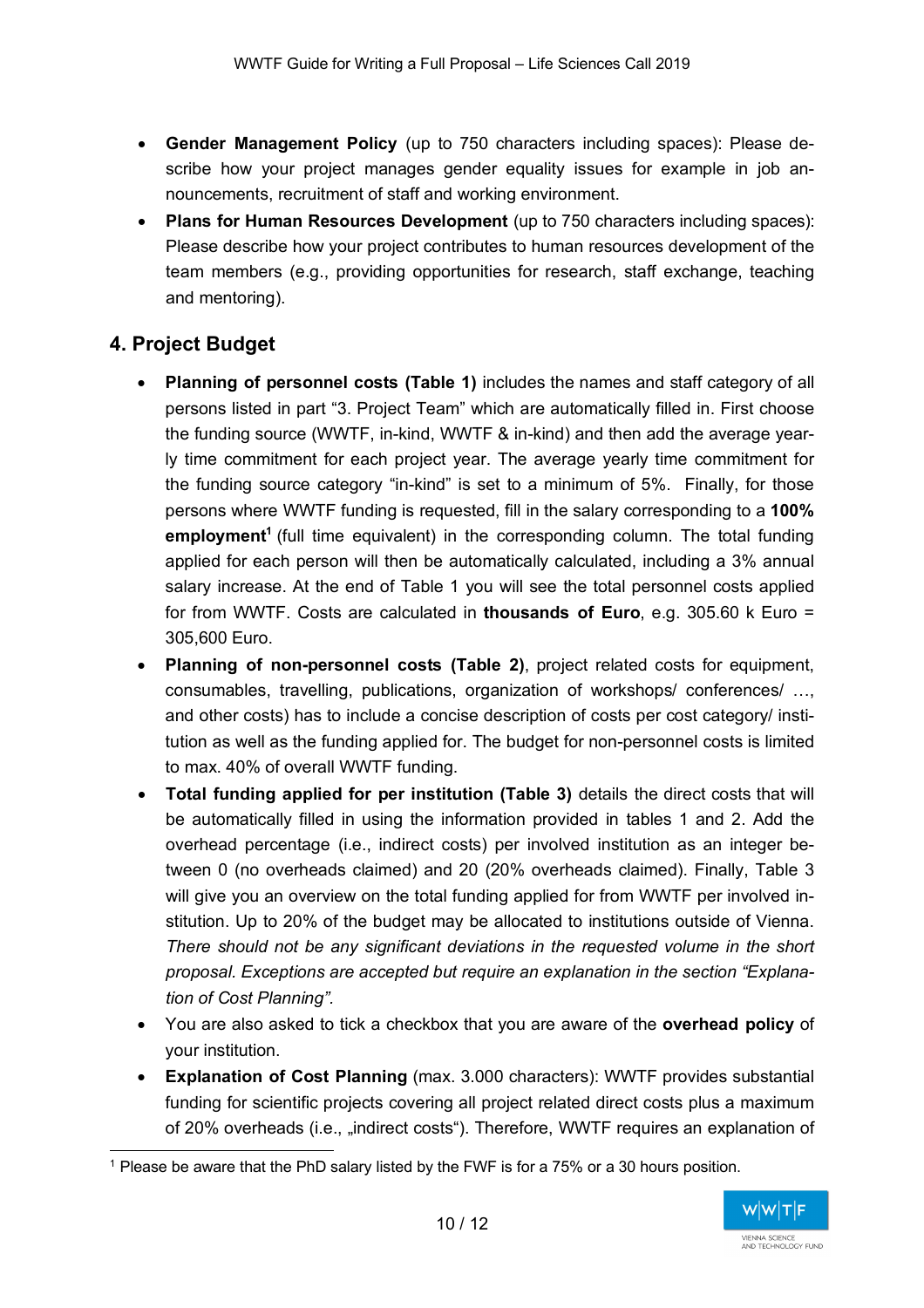- **Gender Management Policy** (up to 750 characters including spaces): Please describe how your project manages gender equality issues for example in job announcements, recruitment of staff and working environment.
- **Plans for Human Resources Development** (up to 750 characters including spaces): Please describe how your project contributes to human resources development of the team members (e.g., providing opportunities for research, staff exchange, teaching and mentoring).

## **4. Project Budget**

- **Planning of personnel costs (Table 1)** includes the names and staff category of all persons listed in part "3. Project Team" which are automatically filled in. First choose the funding source (WWTF, in-kind, WWTF & in-kind) and then add the average yearly time commitment for each project year. The average yearly time commitment for the funding source category "in-kind" is set to a minimum of 5%. Finally, for those persons where WWTF funding is requested, fill in the salary corresponding to a **100% employment<sup>1</sup>** (full time equivalent) in the corresponding column. The total funding applied for each person will then be automatically calculated, including a 3% annual salary increase. At the end of Table 1 you will see the total personnel costs applied for from WWTF. Costs are calculated in **thousands of Euro**, e.g. 305.60 k Euro = 305,600 Euro.
- **Planning of non-personnel costs (Table 2)**, project related costs for equipment, consumables, travelling, publications, organization of workshops/ conferences/ …, and other costs) has to include a concise description of costs per cost category/ institution as well as the funding applied for. The budget for non-personnel costs is limited to max. 40% of overall WWTF funding.
- **Total funding applied for per institution (Table 3)** details the direct costs that will be automatically filled in using the information provided in tables 1 and 2. Add the overhead percentage (i.e., indirect costs) per involved institution as an integer between 0 (no overheads claimed) and 20 (20% overheads claimed). Finally, Table 3 will give you an overview on the total funding applied for from WWTF per involved institution. Up to 20% of the budget may be allocated to institutions outside of Vienna. *There should not be any significant deviations in the requested volume in the short proposal. Exceptions are accepted but require an explanation in the section "Explanation of Cost Planning".*
- You are also asked to tick a checkbox that you are aware of the **overhead policy** of your institution.
- **Explanation of Cost Planning** (max. 3.000 characters): WWTF provides substantial funding for scientific projects covering all project related direct costs plus a maximum of 20% overheads (i.e., "indirect costs"). Therefore, WWTF requires an explanation of

 <sup>1</sup> Please be aware that the PhD salary listed by the FWF is for a 75% or a 30 hours position.

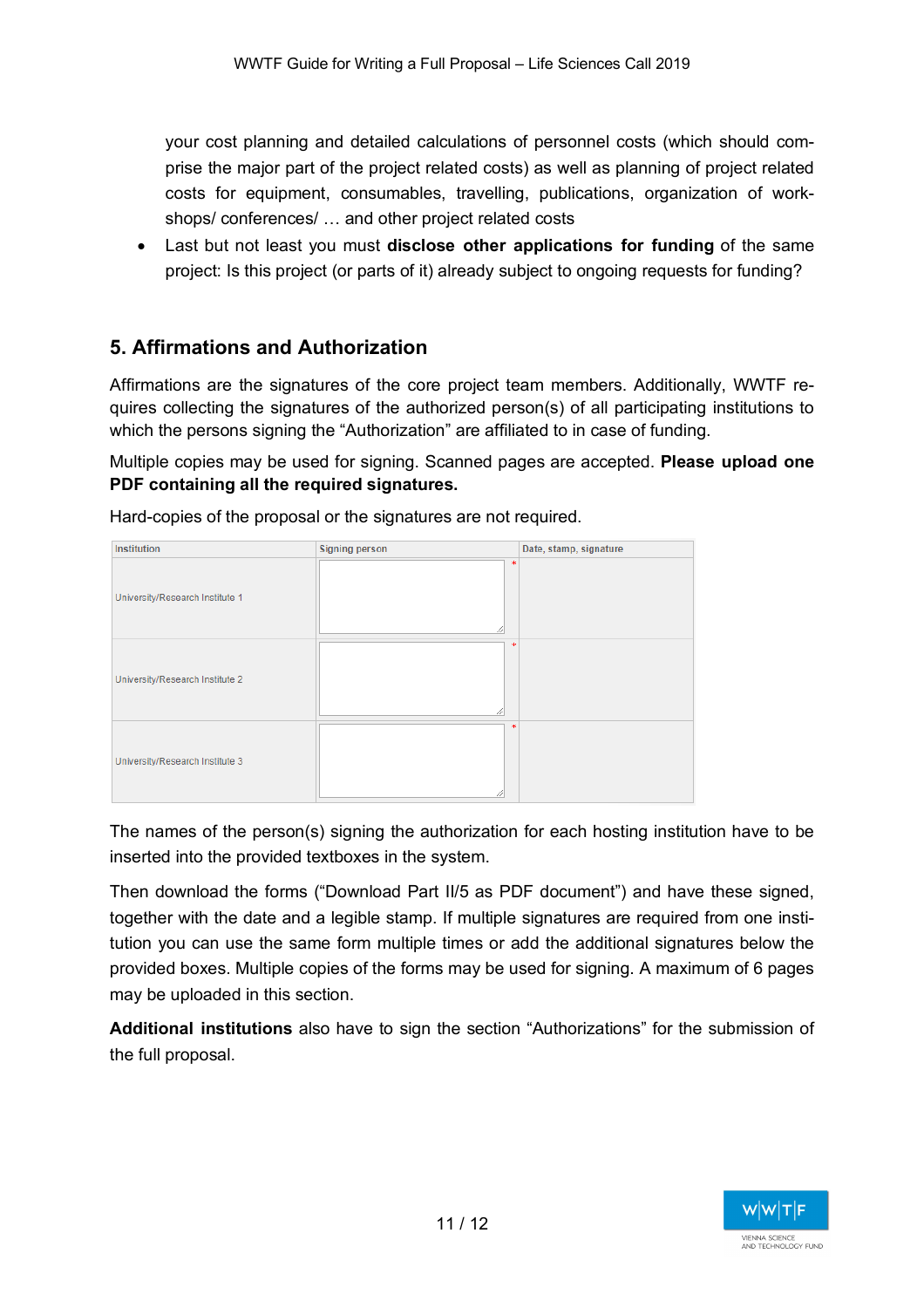your cost planning and detailed calculations of personnel costs (which should comprise the major part of the project related costs) as well as planning of project related costs for equipment, consumables, travelling, publications, organization of workshops/ conferences/ … and other project related costs

• Last but not least you must **disclose other applications for funding** of the same project: Is this project (or parts of it) already subject to ongoing requests for funding?

## **5. Affirmations and Authorization**

Affirmations are the signatures of the core project team members. Additionally, WWTF requires collecting the signatures of the authorized person(s) of all participating institutions to which the persons signing the "Authorization" are affiliated to in case of funding.

Multiple copies may be used for signing. Scanned pages are accepted. **Please upload one PDF containing all the required signatures.**

| Institution                     | <b>Signing person</b> | Date, stamp, signature |
|---------------------------------|-----------------------|------------------------|
| University/Research Institute 1 | 宋<br>╱                |                        |
| University/Research Institute 2 | sk.<br>11             |                        |
| University/Research Institute 3 | 宋                     |                        |

Hard-copies of the proposal or the signatures are not required.

The names of the person(s) signing the authorization for each hosting institution have to be inserted into the provided textboxes in the system.

Then download the forms ("Download Part II/5 as PDF document") and have these signed, together with the date and a legible stamp. If multiple signatures are required from one institution you can use the same form multiple times or add the additional signatures below the provided boxes. Multiple copies of the forms may be used for signing. A maximum of 6 pages may be uploaded in this section.

**Additional institutions** also have to sign the section "Authorizations" for the submission of the full proposal.